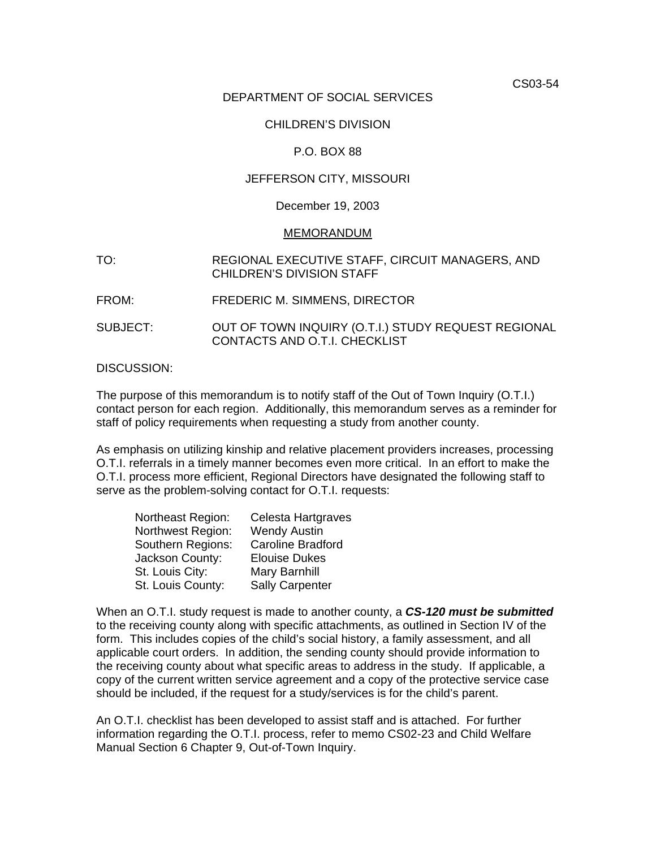CS03-54

## DEPARTMENT OF SOCIAL SERVICES

## CHILDREN'S DIVISION

## P.O. BOX 88

## JEFFERSON CITY, MISSOURI

### December 19, 2003

#### MEMORANDUM

## TO: REGIONAL EXECUTIVE STAFF, CIRCUIT MANAGERS, AND CHILDREN'S DIVISION STAFF

- FROM: FREDERIC M. SIMMENS, DIRECTOR
- SUBJECT: OUT OF TOWN INQUIRY (O.T.I.) STUDY REQUEST REGIONAL CONTACTS AND O.T.I. CHECKLIST

## DISCUSSION:

The purpose of this memorandum is to notify staff of the Out of Town Inquiry (O.T.I.) contact person for each region. Additionally, this memorandum serves as a reminder for staff of policy requirements when requesting a study from another county.

As emphasis on utilizing kinship and relative placement providers increases, processing O.T.I. referrals in a timely manner becomes even more critical. In an effort to make the O.T.I. process more efficient, Regional Directors have designated the following staff to serve as the problem-solving contact for O.T.I. requests:

| Northeast Region: | Celesta Hartgraves       |
|-------------------|--------------------------|
| Northwest Region: | <b>Wendy Austin</b>      |
| Southern Regions: | <b>Caroline Bradford</b> |
| Jackson County:   | <b>Elouise Dukes</b>     |
| St. Louis City:   | Mary Barnhill            |
| St. Louis County: | <b>Sally Carpenter</b>   |

When an O.T.I. study request is made to another county, a *CS-120 must be submitted* to the receiving county along with specific attachments, as outlined in Section IV of the form. This includes copies of the child's social history, a family assessment, and all applicable court orders. In addition, the sending county should provide information to the receiving county about what specific areas to address in the study. If applicable, a copy of the current written service agreement and a copy of the protective service case should be included, if the request for a study/services is for the child's parent.

An O.T.I. checklist has been developed to assist staff and is attached. For further information regarding the O.T.I. process, refer to memo CS02-23 and [Child Welfare](http://dss.missouri.gov/cd/info/cwman/sec6/ch9/overview.shtml) [Manual Section 6 Chapter 9, Out-of-Town Inquiry.](http://dss.missouri.gov/cd/info/cwman/sec6/ch9/overview.shtml)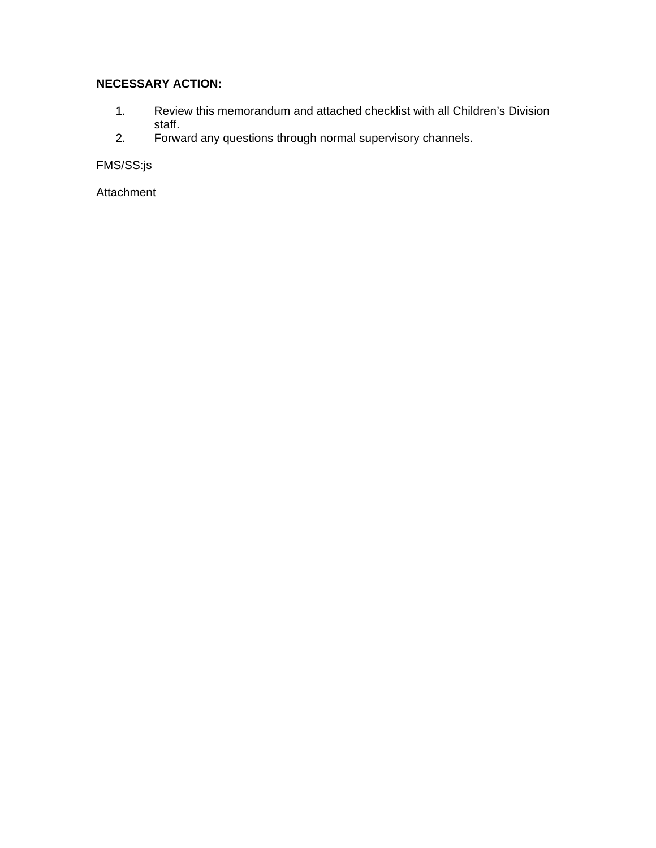# **NECESSARY ACTION:**

- 1. Review this memorandum and attached checklist with all Children's Division staff.
- 2. Forward any questions through normal supervisory channels.

FMS/SS:js

Attachment